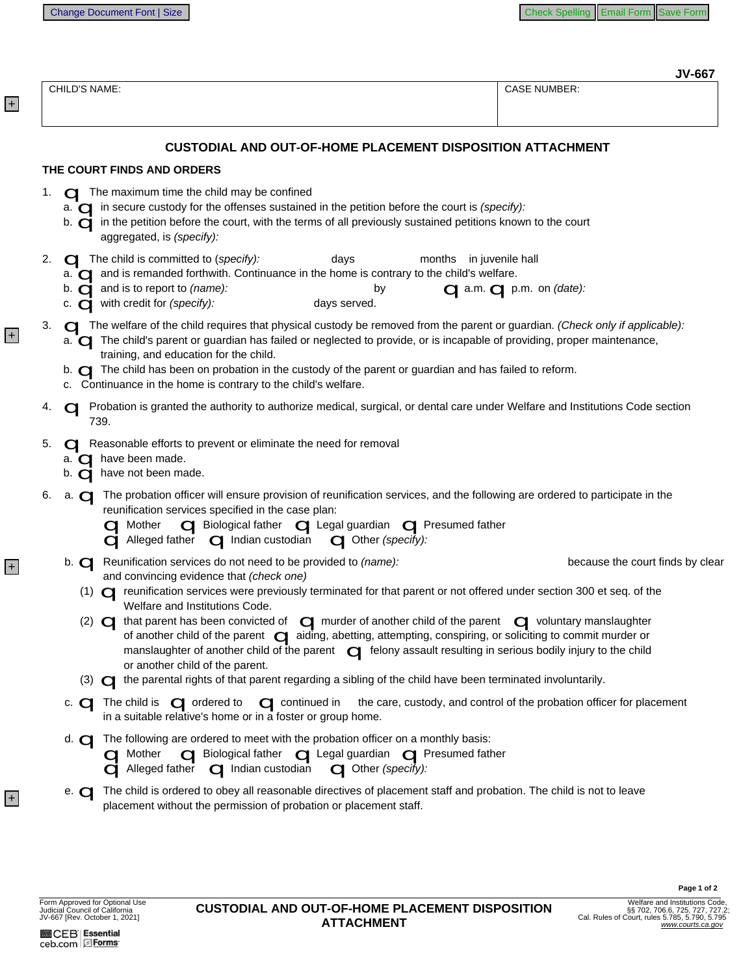| CHILD'S NAME: |                                                                                                                                                                                                                                                                                                                                                                                                                                                                                                                                                                                                                                                                                                                                                                                                                                                                                                                                       | <b>CASE NUMBER:</b>                                                   |  |
|---------------|---------------------------------------------------------------------------------------------------------------------------------------------------------------------------------------------------------------------------------------------------------------------------------------------------------------------------------------------------------------------------------------------------------------------------------------------------------------------------------------------------------------------------------------------------------------------------------------------------------------------------------------------------------------------------------------------------------------------------------------------------------------------------------------------------------------------------------------------------------------------------------------------------------------------------------------|-----------------------------------------------------------------------|--|
|               |                                                                                                                                                                                                                                                                                                                                                                                                                                                                                                                                                                                                                                                                                                                                                                                                                                                                                                                                       |                                                                       |  |
|               | <b>CUSTODIAL AND OUT-OF-HOME PLACEMENT DISPOSITION ATTACHMENT</b>                                                                                                                                                                                                                                                                                                                                                                                                                                                                                                                                                                                                                                                                                                                                                                                                                                                                     |                                                                       |  |
|               | THE COURT FINDS AND ORDERS                                                                                                                                                                                                                                                                                                                                                                                                                                                                                                                                                                                                                                                                                                                                                                                                                                                                                                            |                                                                       |  |
| 1.            | $\Box$ The maximum time the child may be confined<br>a. $\Box$ in secure custody for the offenses sustained in the petition before the court is (specify):<br>b. <b>o</b> in the petition before the court, with the terms of all previously sustained petitions known to the court<br>aggregated, is (specify):                                                                                                                                                                                                                                                                                                                                                                                                                                                                                                                                                                                                                      |                                                                       |  |
| 2.            | $\Box$ The child is committed to (specify):<br>days<br>months in juvenile hall<br>a. $\Box$ and is remanded forthwith. Continuance in the home is contrary to the child's welfare.<br>b. $\Box$ and is to report to (name):<br>by<br>c. $\Box$ with credit for (specify):<br>days served.                                                                                                                                                                                                                                                                                                                                                                                                                                                                                                                                                                                                                                             | <b>Qa.m.</b> <i>Q</i> p.m. on (date):                                 |  |
| 3.            | The welfare of the child requires that physical custody be removed from the parent or guardian. (Check only if applicable):<br>a. <b>Q</b> The child's parent or guardian has failed or neglected to provide, or is incapable of providing, proper maintenance,<br>training, and education for the child.<br>b. <b>I</b> The child has been on probation in the custody of the parent or guardian and has failed to reform.<br>c. Continuance in the home is contrary to the child's welfare.                                                                                                                                                                                                                                                                                                                                                                                                                                         |                                                                       |  |
|               | Probation is granted the authority to authorize medical, surgical, or dental care under Welfare and Institutions Code section<br>739.                                                                                                                                                                                                                                                                                                                                                                                                                                                                                                                                                                                                                                                                                                                                                                                                 |                                                                       |  |
| 5.            | <b>C</b> Reasonable efforts to prevent or eliminate the need for removal<br>a. $\Box$ have been made.<br>b. $\overrightarrow{q}$ have not been made.                                                                                                                                                                                                                                                                                                                                                                                                                                                                                                                                                                                                                                                                                                                                                                                  |                                                                       |  |
| 6.            | a. <b>Q</b> The probation officer will ensure provision of reunification services, and the following are ordered to participate in the<br>reunification services specified in the case plan:<br>a Mother <b>of Biological father of Legal guardian of Presumed father</b><br>$\mathbf Q$ Alleged father $\mathbf Q$ Indian custodian<br>Other (specify):                                                                                                                                                                                                                                                                                                                                                                                                                                                                                                                                                                              |                                                                       |  |
|               | b. <b>Q</b> Reunification services do not need to be provided to (name):<br>and convincing evidence that (check one)<br>(1) <a> reunification services were previously terminated for that parent or not offered under section 300 et seq. of the<br/>Welfare and Institutions Code.<br/>that parent has been convicted of <math>\Box</math> murder of another child of the parent <math>\Box</math> voluntary manslaughter<br/><math>(2)</math> <math>\bigcirc</math><br/>of another child of the parent <math>\sigma</math> aiding, abetting, attempting, conspiring, or soliciting to commit murder or<br/>manslaughter of another child of the parent <math>\Box</math> felony assault resulting in serious bodily injury to the child<br/>or another child of the parent.<br/><math>(3)</math> <math>\bigodot</math> the parental rights of that parent regarding a sibling of the child have been terminated involuntarily.</a> | because the court finds by clear                                      |  |
|               | c. $\Box$ The child is $\Box$ ordered to $\Box$ continued in<br>in a suitable relative's home or in a foster or group home.                                                                                                                                                                                                                                                                                                                                                                                                                                                                                                                                                                                                                                                                                                                                                                                                           | the care, custody, and control of the probation officer for placement |  |
|               | d. $\Box$ The following are ordered to meet with the probation officer on a monthly basis:<br>O Mother O Biological father O Legal guardian O Presumed father<br>$\mathbf q$ Alleged father $\mathbf q$ Indian custodian $\mathbf q$ Other (specify):                                                                                                                                                                                                                                                                                                                                                                                                                                                                                                                                                                                                                                                                                 |                                                                       |  |
|               | The child is ordered to obey all reasonable directives of placement staff and probation. The child is not to leave<br>$e\overline{G}$<br>placement without the permission of probation or placement staff.                                                                                                                                                                                                                                                                                                                                                                                                                                                                                                                                                                                                                                                                                                                            |                                                                       |  |

+

+

+

+

Page 1 of 2